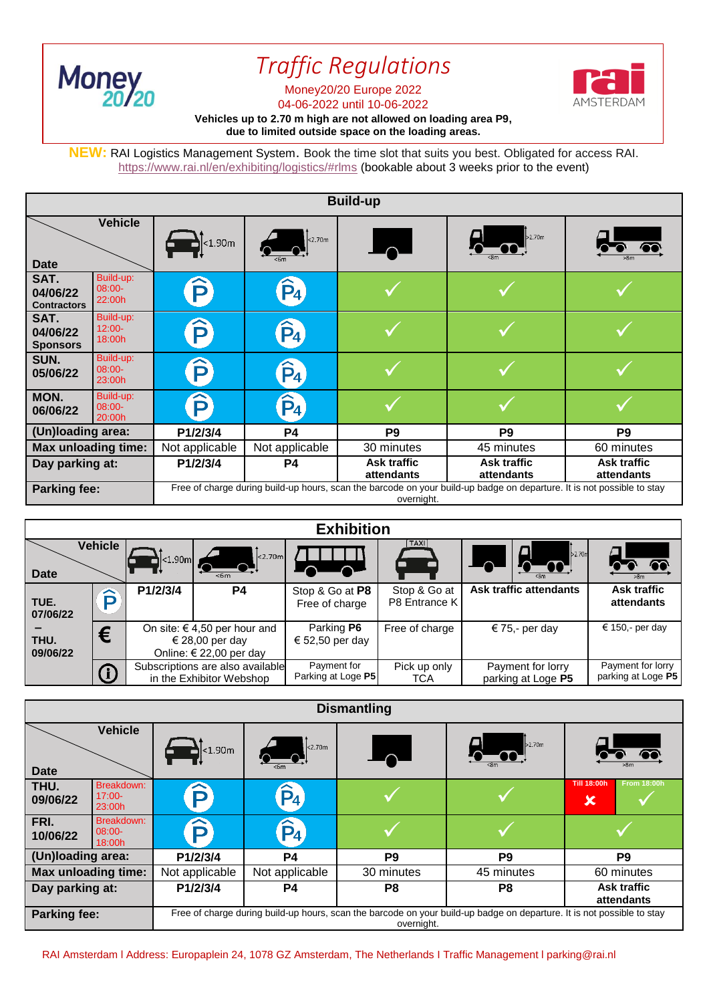

I

## *Traffic Regulations*

**AMSTERDAM** 

## Money20/20 Europe 2022

04-06-2022 until 10-06-2022

## **Vehicles up to 2.70 m high are not allowed on loading area P9, due to limited outside space on the loading areas.**

**NEW:** RAI Logistics Management System. Book the time slot that suits you best. Obligated for access RAI. <https://www.rai.nl/en/exhibiting/logistics/#rlms> (bookable about 3 weeks prior to the event)

| <b>Build-up</b>                        |                                  |                                                                                                                                      |                                 |                                  |                                  |                                  |
|----------------------------------------|----------------------------------|--------------------------------------------------------------------------------------------------------------------------------------|---------------------------------|----------------------------------|----------------------------------|----------------------------------|
| <b>Vehicle</b><br><b>Date</b>          |                                  | $\sqrt{\cdot 1.90m}$                                                                                                                 | 2.70m                           | $\overline{\phantom{0}}$         | b2.70m                           |                                  |
| SAT.<br>04/06/22<br><b>Contractors</b> | Build-up:<br>$08:00-$<br>22:00h  | $\bf \widehat{P}$                                                                                                                    | $\hat{P}_4$                     |                                  |                                  |                                  |
| SAT.<br>04/06/22<br><b>Sponsors</b>    | Build-up:<br>$12:00 -$<br>18:00h | $\bf \widehat{P}$                                                                                                                    | $\mathbf{\hat{P}}$ <sub>4</sub> |                                  |                                  |                                  |
| SUN.<br>05/06/22                       | Build-up:<br>$08:00-$<br>23:00h  | $\bf \widehat{P}$                                                                                                                    | $\hat{P}_4$                     |                                  |                                  |                                  |
| MON.<br>06/06/22                       | Build-up:<br>$08:00-$<br>20:00h  | $\bf \widehat{P}$                                                                                                                    | $\hat{P}_4$                     |                                  |                                  |                                  |
| (Un)loading area:                      |                                  | P1/2/3/4                                                                                                                             | <b>P4</b>                       | P <sub>9</sub>                   | P <sub>9</sub>                   | P <sub>9</sub>                   |
| <b>Max unloading time:</b>             |                                  | Not applicable                                                                                                                       | Not applicable                  | 30 minutes                       | 45 minutes                       | 60 minutes                       |
| Day parking at:                        |                                  | P1/2/3/4                                                                                                                             | P4                              | <b>Ask traffic</b><br>attendants | <b>Ask traffic</b><br>attendants | <b>Ask traffic</b><br>attendants |
| <b>Parking fee:</b>                    |                                  | Free of charge during build-up hours, scan the barcode on your build-up badge on departure. It is not possible to stay<br>overnight. |                                 |                                  |                                  |                                  |

| <b>Exhibition</b> |         |                                                                                |                                                              |                                   |                               |                                         |                                         |
|-------------------|---------|--------------------------------------------------------------------------------|--------------------------------------------------------------|-----------------------------------|-------------------------------|-----------------------------------------|-----------------------------------------|
| <b>Date</b>       | Vehicle | $\vert$ <1.90m $\vert$ $\vert$                                                 | $\vert$ <2.70m<br>$<$ 6m                                     |                                   | TAXI                          | $\vert$ 2.70m<br><b>200 V</b>           | >8m                                     |
| TUE.<br>07/06/22  | ∼       | P1/2/3/4                                                                       | P4                                                           | Stop & Go at P8<br>Free of charge | Stop & Go at<br>P8 Entrance K | Ask traffic attendants                  | Ask traffic<br>attendants               |
| THU.<br>09/06/22  | €       | On site: $\in$ 4,50 per hour and<br>€ 28,00 per day<br>Online: € 22,00 per day |                                                              | Parking P6<br>€ 52,50 per day     | Free of charge                | € 75,- per day                          | € 150,- per day                         |
|                   | O       |                                                                                | Subscriptions are also available<br>in the Exhibitor Webshop | Payment for<br>Parking at Loge P5 | Pick up only<br>TCA           | Payment for lorry<br>parking at Loge P5 | Payment for lorry<br>parking at Loge P5 |

| <b>Dismantling</b>                                    |                                                                                                                                      |                  |                          |                |                                                            |  |
|-------------------------------------------------------|--------------------------------------------------------------------------------------------------------------------------------------|------------------|--------------------------|----------------|------------------------------------------------------------|--|
| <b>Vehicle</b><br><b>Date</b>                         | $\mathbf{R}$ <1.90m                                                                                                                  | <sub>2.70m</sub> | $\overline{\phantom{a}}$ | b2.70m         |                                                            |  |
| Breakdown:<br>THU.<br>$17:00 -$<br>09/06/22<br>23:00h | $\bf \widehat{P}$                                                                                                                    | $\hat{P}_4$      |                          |                | <b>Till 18:00h</b><br><b>From 18:00h</b><br>$\pmb{\times}$ |  |
| Breakdown:<br>FRI.<br>$08:00 -$<br>10/06/22<br>18:00h | ô                                                                                                                                    | $\hat{P}_4$      |                          |                |                                                            |  |
| (Un)loading area:                                     | P1/2/3/4                                                                                                                             | <b>P4</b>        | P <sub>9</sub>           | P <sub>9</sub> | P <sub>9</sub>                                             |  |
| Max unloading time:                                   | Not applicable                                                                                                                       | Not applicable   | 30 minutes               | 45 minutes     | 60 minutes                                                 |  |
| Day parking at:                                       | P1/2/3/4                                                                                                                             | P4               | P8                       | P <sub>8</sub> | <b>Ask traffic</b><br>attendants                           |  |
| Parking fee:                                          | Free of charge during build-up hours, scan the barcode on your build-up badge on departure. It is not possible to stay<br>overnight. |                  |                          |                |                                                            |  |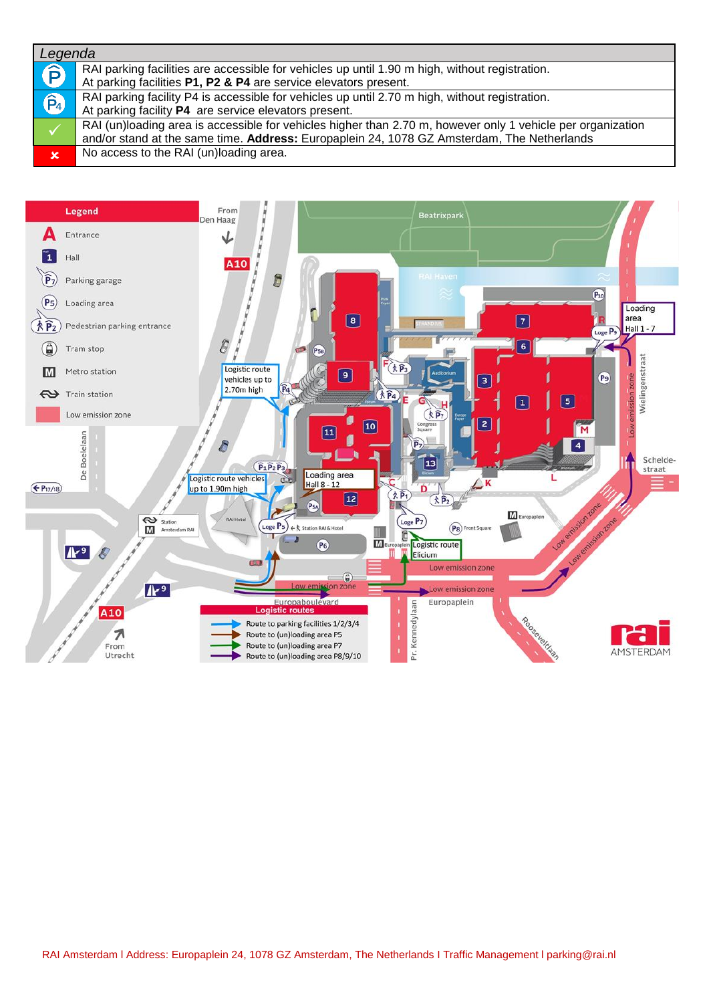## *Legenda*

| Lcycliud        |                                                                                                             |
|-----------------|-------------------------------------------------------------------------------------------------------------|
| Ê               | RAI parking facilities are accessible for vehicles up until 1.90 m high, without registration.              |
|                 | At parking facilities P1, P2 & P4 are service elevators present.                                            |
| $\widehat{P}_4$ | RAI parking facility P4 is accessible for vehicles up until 2.70 m high, without registration.              |
|                 | At parking facility P4 are service elevators present.                                                       |
|                 | RAI (un)loading area is accessible for vehicles higher than 2.70 m, however only 1 vehicle per organization |
|                 | and/or stand at the same time. Address: Europaplein 24, 1078 GZ Amsterdam, The Netherlands                  |
| $\mathbf x$     | No access to the RAI (un)loading area.                                                                      |
|                 |                                                                                                             |